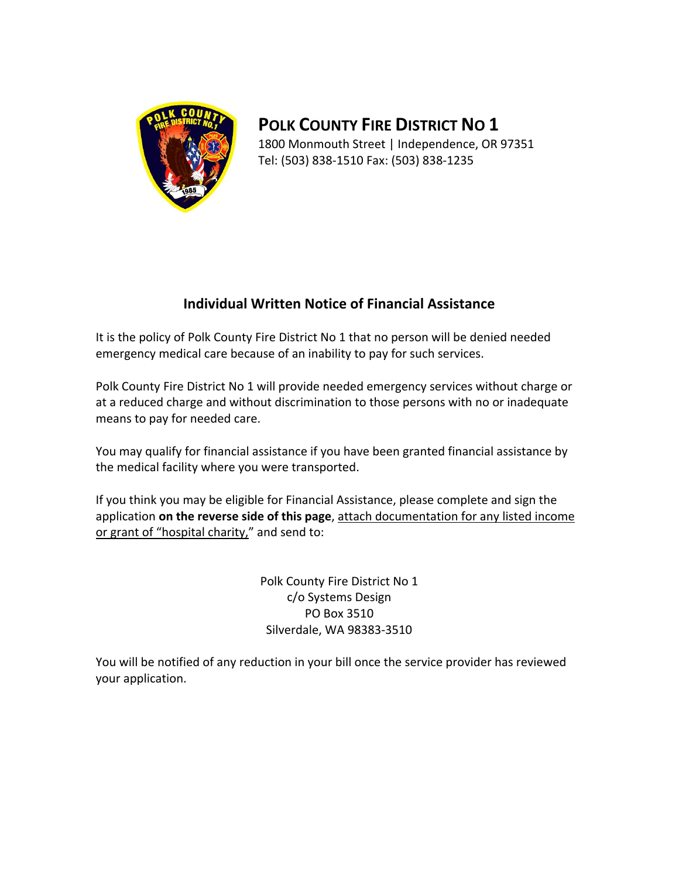

**POLK COUNTY FIRE DISTRICT NO 1** 1800 Monmouth Street | Independence, OR 97351 Tel: (503) 838‐1510 Fax: (503) 838‐1235

## **Individual Written Notice of Financial Assistance**

It is the policy of Polk County Fire District No 1 that no person will be denied needed emergency medical care because of an inability to pay for such services.

Polk County Fire District No 1 will provide needed emergency services without charge or at a reduced charge and without discrimination to those persons with no or inadequate means to pay for needed care.

You may qualify for financial assistance if you have been granted financial assistance by the medical facility where you were transported.

If you think you may be eligible for Financial Assistance, please complete and sign the application **on the reverse side of this page**, attach documentation for any listed income or grant of "hospital charity," and send to:

> Polk County Fire District No 1 c/o Systems Design PO Box 3510 Silverdale, WA 98383‐3510

You will be notified of any reduction in your bill once the service provider has reviewed your application.